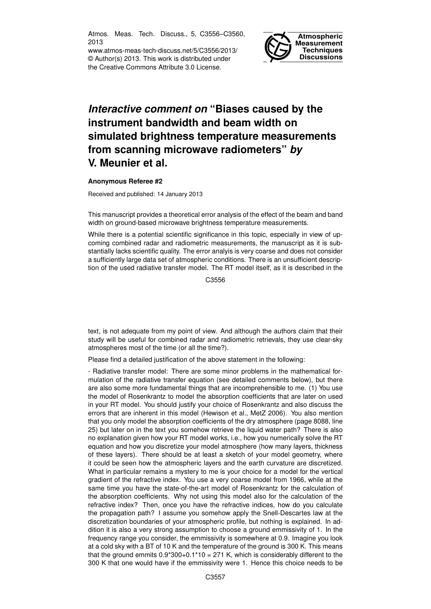Atmos. Meas. Tech. Discuss., 5, C3556–C3560, 2013

www.atmos-meas-tech-discuss.net/5/C3556/2013/ © Author(s) 2013. This work is distributed under the Creative Commons Attribute 3.0 License.



# *Interactive comment on* **"Biases caused by the instrument bandwidth and beam width on simulated brightness temperature measurements from scanning microwave radiometers"** *by* **V. Meunier et al.**

### **Anonymous Referee #2**

Received and published: 14 January 2013

This manuscript provides a theoretical error analysis of the effect of the beam and band width on ground-based microwave brightness temperature measurements.

While there is a potential scientific significance in this topic, especially in view of upcoming combined radar and radiometric measurements, the manuscript as it is substantially lacks scientific quality. The error analyis is very coarse and does not consider a sufficiently large data set of atmospheric conditions. There is an unsufficient description of the used radiative transfer model. The RT model itself, as it is described in the

C3556

text, is not adequate from my point of view. And although the authors claim that their study will be useful for combined radar and radiometric retrievals, they use clear-sky atmospheres most of the time (or all the time?).

Please find a detailed justification of the above statement in the following:

- Radiative transfer model: There are some minor problems in the mathematical formulation of the radiative transfer equation (see detailed comments below), but there are also some more fundamental things that are incomprehensible to me. (1) You use the model of Rosenkrantz to model the absorption coefficients that are later on used in your RT model. You should justify your choice of Rosenkrantz and also discuss the errors that are inherent in this model (Hewison et al., MetZ 2006). You also mention that you only model the absorption coefficients of the dry atmosphere (page 8088, line 25) but later on in the text you somehow retrieve the liquid water path? There is also no explanation given how your RT model works, i.e., how you numerically solve the RT equation and how you discretize your model atmosphere (how many layers, thickness of these layers). There should be at least a sketch of your model geometry, where it could be seen how the atmospheric layers and the earth curvature are discretized. What in particular remains a mystery to me is your choice for a model for the vertical gradient of the refractive index. You use a very coarse model from 1966, while at the same time you have the state-of-the-art model of Rosenkrantz for the calculation of the absorption coefficients. Why not using this model also for the calculation of the refractive index? Then, once you have the refractive indices, how do you calculate the propagation path? I assume you somehow apply the Snell-Descartes law at the discretization boundaries of your atmospheric profile, but nothing is explained. In addition it is also a very strong assumption to choose a ground emmissivity of 1. In the frequency range you consider, the emmissivity is somewhere at 0.9. Imagine you look at a cold sky with a BT of 10 K and the temperature of the ground is 300 K. This means that the ground emmits  $0.9*300+0.1*10 = 271$  K, which is considerably different to the 300 K that one would have if the emmissivity were 1. Hence this choice needs to be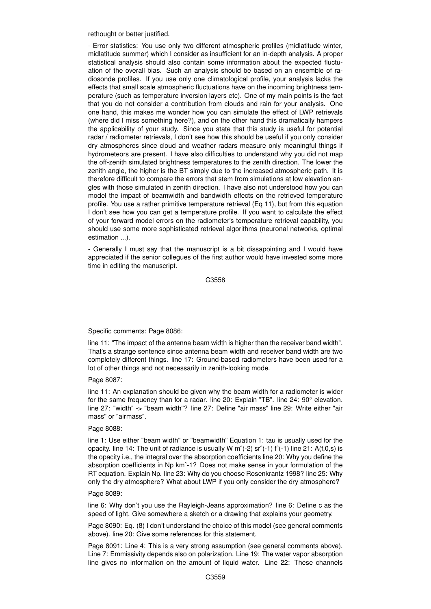rethought or better justified.

- Error statistics: You use only two different atmospheric profiles (midlatitude winter, midlatitude summer) which I consider as insufficient for an in-depth analysis. A proper statistical analysis should also contain some information about the expected fluctuation of the overall bias. Such an analysis should be based on an ensemble of radiosonde profiles. If you use only one climatological profile, your analysis lacks the effects that small scale atmospheric fluctuations have on the incoming brightness temperature (such as temperature inversion layers etc). One of my main points is the fact that you do not consider a contribution from clouds and rain for your analysis. One one hand, this makes me wonder how you can simulate the effect of LWP retrievals (where did I miss something here?), and on the other hand this dramatically hampers the applicability of your study. Since you state that this study is useful for potential radar / radiometer retrievals, I don't see how this should be useful if you only consider dry atmospheres since cloud and weather radars measure only meaningful things if hydrometeors are present. I have also difficulties to understand why you did not map the off-zenith simulated brightness temperatures to the zenith direction. The lower the zenith angle, the higher is the BT simply due to the increased atmospheric path. It is therefore difficult to compare the errors that stem from simulations at low elevation angles with those simulated in zenith direction. I have also not understood how you can model the impact of beamwidth and bandwidth effects on the retrieved temperature profile. You use a rather primitive temperature retrieval (Eq 11), but from this equation I don't see how you can get a temperature profile. If you want to calculate the effect of your forward model errors on the radiometer's temperature retrieval capability, you should use some more sophisticated retrieval algorithms (neuronal networks, optimal estimation ...).

- Generally I must say that the manuscript is a bit dissapointing and I would have appreciated if the senior collegues of the first author would have invested some more time in editing the manuscript.

C3558

### Specific comments: Page 8086:

line 11: "The impact of the antenna beam width is higher than the receiver band width". That's a strange sentence since antenna beam width and receiver band width are two completely different things. line 17: Ground-based radiometers have been used for a lot of other things and not necessarily in zenith-looking mode.

Page 8087:

line 11: An explanation should be given why the beam width for a radiometer is wider for the same frequency than for a radar. line 20: Explain "TB". line 24: 90◦ elevation. line 27: "width" -> "beam width"? line 27: Define "air mass" line 29: Write either "air mass" or "airmass".

### Page 8088:

line 1: Use either "beam width" or "beamwidth" Equation 1: tau is usually used for the opacity. line 14: The unit of radiance is usually W m^(-2) sr^(-1) f^(-1) line 21: A(f,0,s) is the opacity i.e., the integral over the absorption coefficients line 20: Why you define the absorption coefficients in Np kmˆ-1? Does not make sense in your formulation of the RT equation. Explain Np. line 23: Why do you choose Rosenkrantz 1998? line 25: Why only the dry atmosphere? What about LWP if you only consider the dry atmosphere?

## Page 8089:

line 6: Why don't you use the Rayleigh-Jeans approximation? line 6: Define c as the speed of light. Give somewhere a sketch or a drawing that explains your geometry.

Page 8090: Eq. (8) I don't understand the choice of this model (see general comments above). line 20: Give some references for this statement.

Page 8091: Line 4: This is a very strong assumption (see general comments above). Line 7: Emmissivity depends also on polarization. Line 19: The water vapor absorption line gives no information on the amount of liquid water. Line 22: These channels